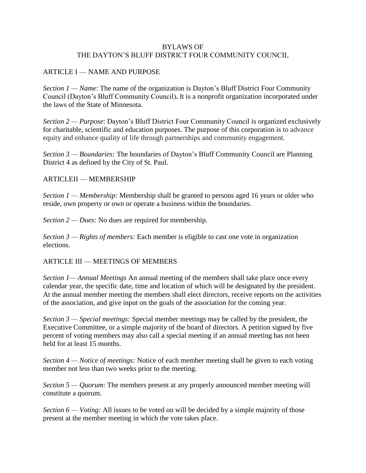## BYLAWS OF THE DAYTON'S BLUFF DISTRICT FOUR COMMUNITY COUNCIL

### ARTICLE I — NAME AND PURPOSE

*Section 1 — Name*: The name of the organization is Dayton's Bluff District Four Community Council (Dayton's Bluff Community Council)**.** It is a nonprofit organization incorporated under the laws of the State of Minnesota.

*Section 2 — Purpose*: Dayton's Bluff District Four Community Council is organized exclusively for charitable, scientific and education purposes. The purpose of this corporation is to advance equity and enhance quality of life through partnerships and community engagement.

*Section 3 — Boundaries:* The boundaries of Dayton's Bluff Community Council are Planning District 4 as defined by the City of St. Paul.

### ARTICLEII — MEMBERSHIP

*Section 1 — Membership:* Membership shall be granted to persons aged 16 years or older who reside, own property or own or operate a business within the boundaries.

*Section 2 — Dues:* No dues are required for membership.

*Section 3 — Rights of members:* Each member is eligible to cast one vote in organization elections.

### ARTICLE III — MEETINGS OF MEMBERS

*Section 1— Annual Meetings* An annual meeting of the members shall take place once every calendar year, the specific date, time and location of which will be designated by the president. At the annual member meeting the members shall elect directors, receive reports on the activities of the association, and give input on the goals of the association for the coming year.

*Section 3 — Special meetings:* Special member meetings may be called by the president, the Executive Committee, or a simple majority of the board of directors. A petition signed by five percent of voting members may also call a special meeting if an annual meeting has not been held for at least 15 months.

*Section 4 — Notice of meetings:* Notice of each member meeting shall be given to each voting member not less than two weeks prior to the meeting.

*Section 5 — Quorum*: The members present at any properly announced member meeting will constitute a quorum.

*Section 6 — Voting:* All issues to be voted on will be decided by a simple majority of those present at the member meeting in which the vote takes place.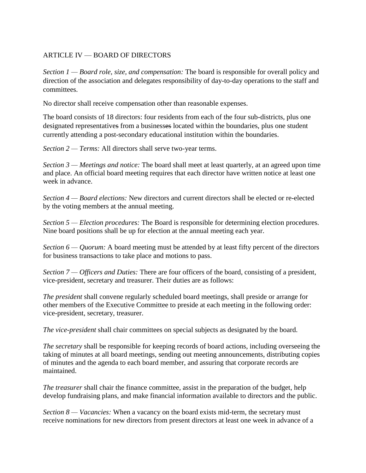# ARTICLE IV — BOARD OF DIRECTORS

*Section 1 — Board role, size, and compensation:* The board is responsible for overall policy and direction of the association and delegates responsibility of day-to-day operations to the staff and committees.

No director shall receive compensation other than reasonable expenses.

The board consists of 18 directors: four residents from each of the four sub-districts, plus one designated representatives from a businesses located within the boundaries, plus one student currently attending a post-secondary educational institution within the boundaries.

*Section 2 — Terms:* All directors shall serve two-year terms.

*Section 3 — Meetings and notice:* The board shall meet at least quarterly, at an agreed upon time and place. An official board meeting requires that each director have written notice at least one week in advance.

*Section 4 — Board elections:* New directors and current directors shall be elected or re-elected by the voting members at the annual meeting.

*Section 5 — Election procedures:* The Board is responsible for determining election procedures. Nine board positions shall be up for election at the annual meeting each year.

*Section 6 — Quorum:* A board meeting must be attended by at least fifty percent of the directors for business transactions to take place and motions to pass.

*Section 7 — Officers and Duties:* There are four officers of the board, consisting of a president, vice-president, secretary and treasurer. Their duties are as follows:

*The president* shall convene regularly scheduled board meetings, shall preside or arrange for other members of the Executive Committee to preside at each meeting in the following order: vice-president, secretary, treasurer.

*The vice-president* shall chair committees on special subjects as designated by the board.

*The secretary* shall be responsible for keeping records of board actions, including overseeing the taking of minutes at all board meetings, sending out meeting announcements, distributing copies of minutes and the agenda to each board member, and assuring that corporate records are maintained.

*The treasurer* shall chair the finance committee, assist in the preparation of the budget, help develop fundraising plans, and make financial information available to directors and the public.

*Section 8 — Vacancies:* When a vacancy on the board exists mid-term, the secretary must receive nominations for new directors from present directors at least one week in advance of a